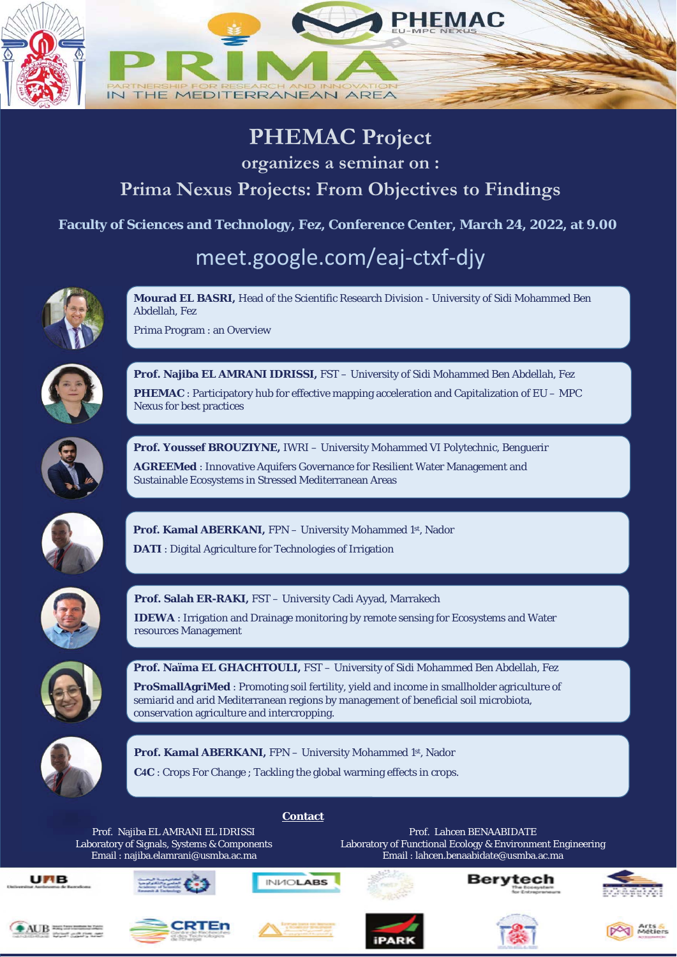

#### **PHEMAC Project**

**organizes a seminar on :** 

#### **Prima Nexus Projects: From Objectives to Findings**

**Faculty of Sciences and Technology, Fez, Conference Center, March 24, 2022, at 9.00** 

### meet.google.com/eaj-ctxf-djy



**Mourad EL BASRI,** Head of the Scientific Research Division - University of Sidi Mohammed Ben Abdellah, Fez

Prima Program : an Overview



**Prof. Najiba EL AMRANI IDRISSI,** FST – University of Sidi Mohammed Ben Abdellah, Fez **PHEMAC** : Participatory hub for effective mapping acceleration and Capitalization of EU – MPC Nexus for best practices



**Prof. Youssef BROUZIYNE,** IWRI – University Mohammed VI Polytechnic, Benguerir

**AGREEMed** : Innovative Aquifers Governance for Resilient Water Management and Sustainable Ecosystems in Stressed Mediterranean Areas



**Prof. Kamal ABERKANI,** FPN – University Mohammed 1st, Nador

**DATI** : Digital Agriculture for Technologies of Irrigation



**Prof. Salah ER-RAKI,** FST – University Cadi Ayyad, Marrakech

**IDEWA** : Irrigation and Drainage monitoring by remote sensing for Ecosystems and Water resources Management



**Prof. Naïma EL GHACHTOULI,** FST – University of Sidi Mohammed Ben Abdellah, Fez

**ProSmallAgriMed** : Promoting soil fertility, yield and income in smallholder agriculture of semiarid and arid Mediterranean regions by management of beneficial soil microbiota, conservation agriculture and intercropping.



Prof. Kamal ABERKANI, FPN - University Mohammed 1st, Nador

**C4C** : Crops For Change ; Tackling the global warming effects in crops.

**Contact**

Prof. Najiba EL AMRANI EL IDRISSI Laboratory of Signals, Systems & Components Email : najiba.elamrani@usmba.ac.ma

Prof. Lahcen BENAABIDATE Laboratory of Functional Ecology & Environment Engineering Email : lahcen.benaabidate@usmba.ac.ma